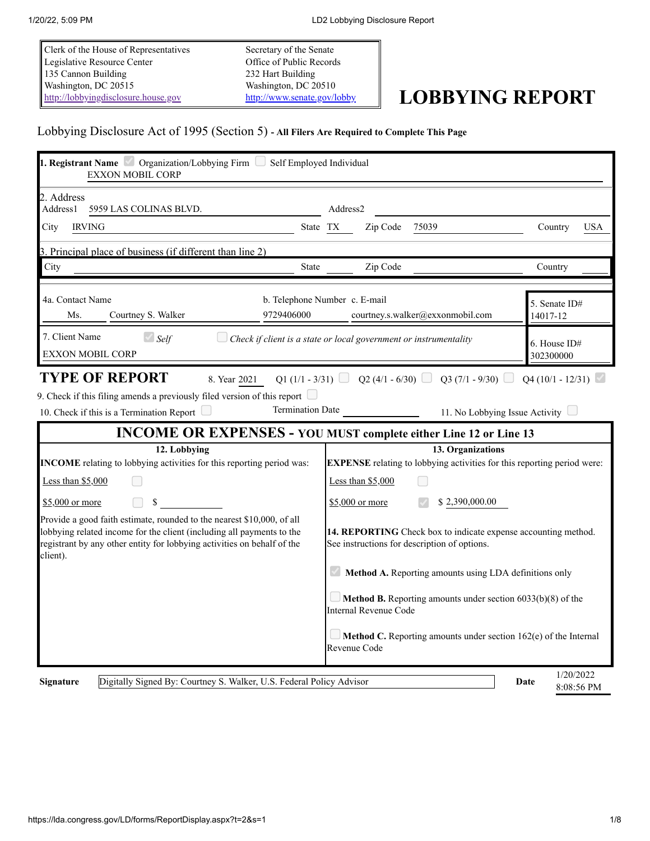Clerk of the House of Representatives Legislative Resource Center 135 Cannon Building Washington, DC 20515 [http://lobbyingdisclosure.house.gov](http://lobbyingdisclosure.house.gov/)

Secretary of the Senate Office of Public Records 232 Hart Building Washington, DC 20510

# <http://www.senate.gov/lobby> **LOBBYING REPORT**

## Lobbying Disclosure Act of 1995 (Section 5) **- All Filers Are Required to Complete This Page**

| 1. Registrant Name <i>Organization/Lobbying Firm Self Employed Individual</i><br><b>EXXON MOBIL CORP</b>                                                                                                                                                                                                                                                 |                                                                                                           |                                 |  |  |
|----------------------------------------------------------------------------------------------------------------------------------------------------------------------------------------------------------------------------------------------------------------------------------------------------------------------------------------------------------|-----------------------------------------------------------------------------------------------------------|---------------------------------|--|--|
| 2. Address<br>Address1<br>5959 LAS COLINAS BLVD.                                                                                                                                                                                                                                                                                                         | Address2                                                                                                  |                                 |  |  |
| City<br><b>IRVING</b>                                                                                                                                                                                                                                                                                                                                    | Zip Code<br>75039<br>State TX                                                                             | Country<br><b>USA</b>           |  |  |
| 3. Principal place of business (if different than line 2)                                                                                                                                                                                                                                                                                                |                                                                                                           |                                 |  |  |
| City<br>State                                                                                                                                                                                                                                                                                                                                            | Zip Code                                                                                                  | Country                         |  |  |
| 4a. Contact Name<br>9729406000<br>Ms.<br>Courtney S. Walker                                                                                                                                                                                                                                                                                              | b. Telephone Number c. E-mail<br>courtney.s.walker@exxonmobil.com                                         | 5. Senate ID#<br>14017-12       |  |  |
| 7. Client Name<br>$\triangle$ Self<br><b>EXXON MOBIL CORP</b>                                                                                                                                                                                                                                                                                            | Check if client is a state or local government or instrumentality                                         | 6. House ID#<br>302300000       |  |  |
| 9. Check if this filing amends a previously filed version of this report $\Box$<br><b>Termination Date</b><br>10. Check if this is a Termination Report                                                                                                                                                                                                  | 11. No Lobbying Issue Activity<br><b>INCOME OR EXPENSES - YOU MUST complete either Line 12 or Line 13</b> |                                 |  |  |
| 12. Lobbying                                                                                                                                                                                                                                                                                                                                             | 13. Organizations                                                                                         |                                 |  |  |
| INCOME relating to lobbying activities for this reporting period was:                                                                                                                                                                                                                                                                                    | <b>EXPENSE</b> relating to lobbying activities for this reporting period were:                            |                                 |  |  |
| Less than \$5,000                                                                                                                                                                                                                                                                                                                                        | Less than \$5,000                                                                                         |                                 |  |  |
| $$5,000$ or more<br>\$                                                                                                                                                                                                                                                                                                                                   | \$2,390,000.00<br>\$5,000 or more                                                                         |                                 |  |  |
| Provide a good faith estimate, rounded to the nearest \$10,000, of all<br>lobbying related income for the client (including all payments to the<br>14. REPORTING Check box to indicate expense accounting method.<br>registrant by any other entity for lobbying activities on behalf of the<br>See instructions for description of options.<br>client). |                                                                                                           |                                 |  |  |
|                                                                                                                                                                                                                                                                                                                                                          | Method A. Reporting amounts using LDA definitions only                                                    |                                 |  |  |
|                                                                                                                                                                                                                                                                                                                                                          | <b>Method B.</b> Reporting amounts under section $6033(b)(8)$ of the<br>Internal Revenue Code             |                                 |  |  |
|                                                                                                                                                                                                                                                                                                                                                          | Method C. Reporting amounts under section 162(e) of the Internal<br>Revenue Code                          |                                 |  |  |
| Digitally Signed By: Courtney S. Walker, U.S. Federal Policy Advisor<br><b>Signature</b>                                                                                                                                                                                                                                                                 |                                                                                                           | 1/20/2022<br>Date<br>8:08:56 PM |  |  |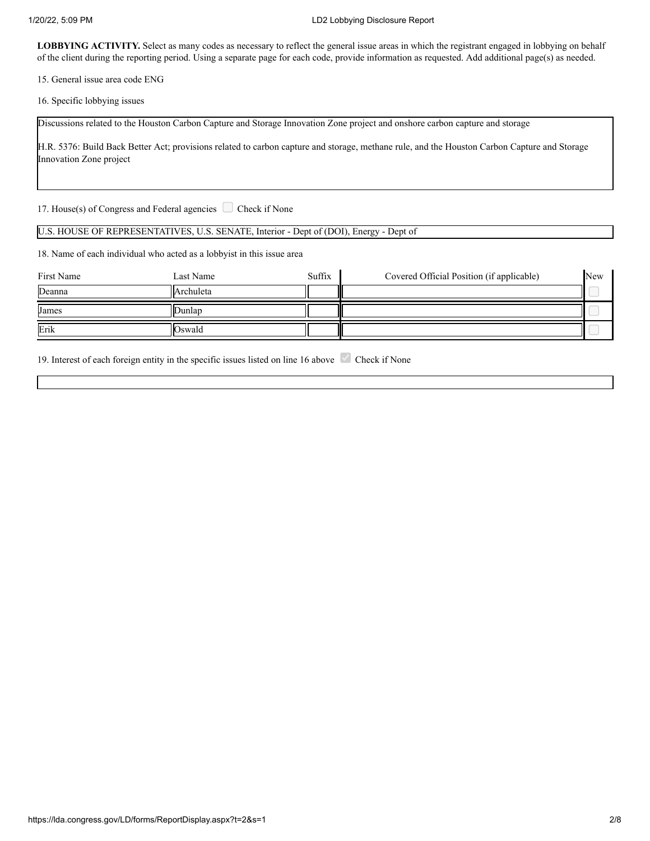LOBBYING ACTIVITY. Select as many codes as necessary to reflect the general issue areas in which the registrant engaged in lobbying on behalf of the client during the reporting period. Using a separate page for each code, provide information as requested. Add additional page(s) as needed.

15. General issue area code ENG

16. Specific lobbying issues

Discussions related to the Houston Carbon Capture and Storage Innovation Zone project and onshore carbon capture and storage

H.R. 5376: Build Back Better Act; provisions related to carbon capture and storage, methane rule, and the Houston Carbon Capture and Storage Innovation Zone project

17. House(s) of Congress and Federal agencies  $\Box$  Check if None

### U.S. HOUSE OF REPRESENTATIVES, U.S. SENATE, Interior - Dept of (DOI), Energy - Dept of

18. Name of each individual who acted as a lobbyist in this issue area

| First Name | Last Name   | Suffix | Covered Official Position (if applicable) | New |
|------------|-------------|--------|-------------------------------------------|-----|
| Deanna     | llArchuleta |        |                                           |     |
| James      | lDunlan     |        |                                           |     |
| Erik       | Oswald      |        |                                           |     |

19. Interest of each foreign entity in the specific issues listed on line 16 above Check if None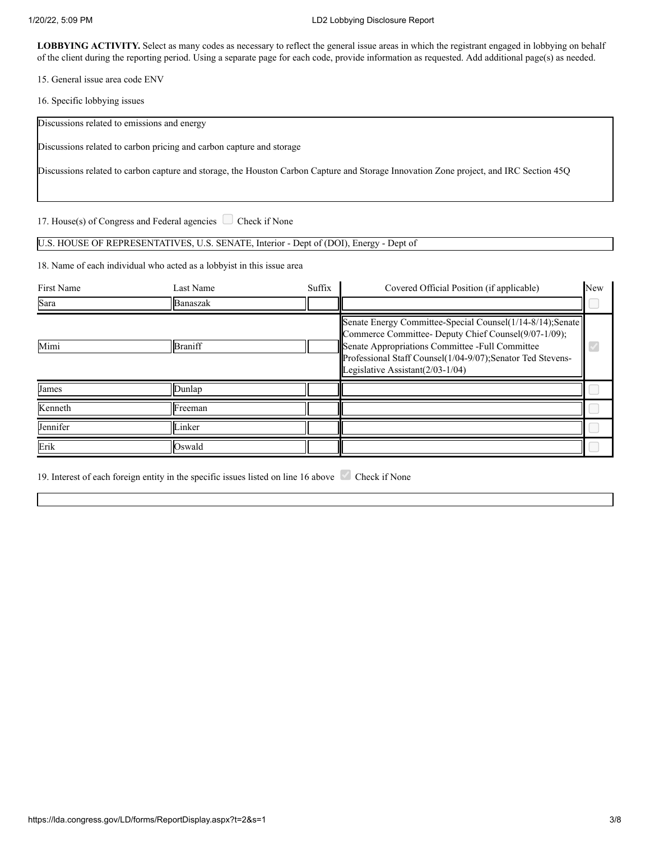#### 1/20/22, 5:09 PM LD2 Lobbying Disclosure Report

LOBBYING ACTIVITY. Select as many codes as necessary to reflect the general issue areas in which the registrant engaged in lobbying on behalf of the client during the reporting period. Using a separate page for each code, provide information as requested. Add additional page(s) as needed.

15. General issue area code ENV

16. Specific lobbying issues

Discussions related to emissions and energy

Discussions related to carbon pricing and carbon capture and storage

Discussions related to carbon capture and storage, the Houston Carbon Capture and Storage Innovation Zone project, and IRC Section 45Q

17. House(s) of Congress and Federal agencies  $\Box$  Check if None

## U.S. HOUSE OF REPRESENTATIVES, U.S. SENATE, Interior - Dept of (DOI), Energy - Dept of

18. Name of each individual who acted as a lobbyist in this issue area

| <b>First Name</b> | Last Name        | Suffix | Covered Official Position (if applicable)                                                                                                                                                                                                                              | New |
|-------------------|------------------|--------|------------------------------------------------------------------------------------------------------------------------------------------------------------------------------------------------------------------------------------------------------------------------|-----|
| Sara              | Banaszak         |        |                                                                                                                                                                                                                                                                        |     |
| Mimi              | Braniff          |        | Senate Energy Committee-Special Counsel(1/14-8/14);Senate<br>Commerce Committee- Deputy Chief Counsel(9/07-1/09);<br>Senate Appropriations Committee -Full Committee<br>Professional Staff Counsel(1/04-9/07);Senator Ted Stevens-<br>Legislative Assistant(2/03-1/04) |     |
| James             | Dunlap           |        |                                                                                                                                                                                                                                                                        |     |
| Kenneth           | <b>I</b> Freeman |        |                                                                                                                                                                                                                                                                        |     |
| Jennifer          | Linker           |        |                                                                                                                                                                                                                                                                        |     |
| Erik              | llOswald         |        |                                                                                                                                                                                                                                                                        |     |

19. Interest of each foreign entity in the specific issues listed on line 16 above Check if None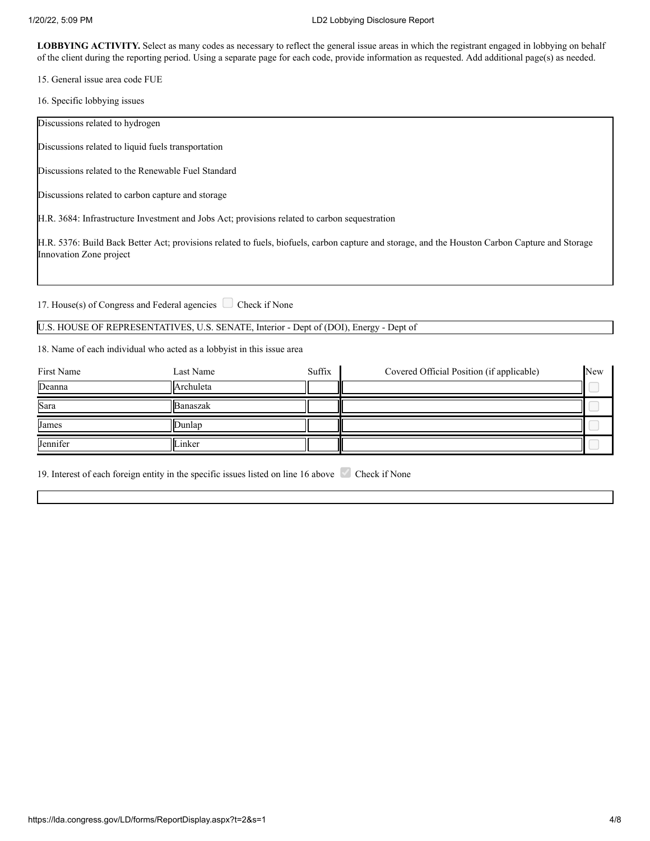LOBBYING ACTIVITY. Select as many codes as necessary to reflect the general issue areas in which the registrant engaged in lobbying on behalf of the client during the reporting period. Using a separate page for each code, provide information as requested. Add additional page(s) as needed.

15. General issue area code FUE

16. Specific lobbying issues

Discussions related to hydrogen

Discussions related to liquid fuels transportation

Discussions related to the Renewable Fuel Standard

Discussions related to carbon capture and storage

H.R. 3684: Infrastructure Investment and Jobs Act; provisions related to carbon sequestration

H.R. 5376: Build Back Better Act; provisions related to fuels, biofuels, carbon capture and storage, and the Houston Carbon Capture and Storage Innovation Zone project

17. House(s) of Congress and Federal agencies  $\Box$  Check if None

## U.S. HOUSE OF REPRESENTATIVES, U.S. SENATE, Interior - Dept of (DOI), Energy - Dept of

18. Name of each individual who acted as a lobbyist in this issue area

| First Name | Last Name  | Suffix | Covered Official Position (if applicable) | New |
|------------|------------|--------|-------------------------------------------|-----|
| Deanna     | lArchuleta |        |                                           |     |
| Sara       | llBanaszak |        |                                           |     |
| James      | Junlar     |        |                                           |     |
| Jennifer   | Linker     |        |                                           |     |

19. Interest of each foreign entity in the specific issues listed on line 16 above Check if None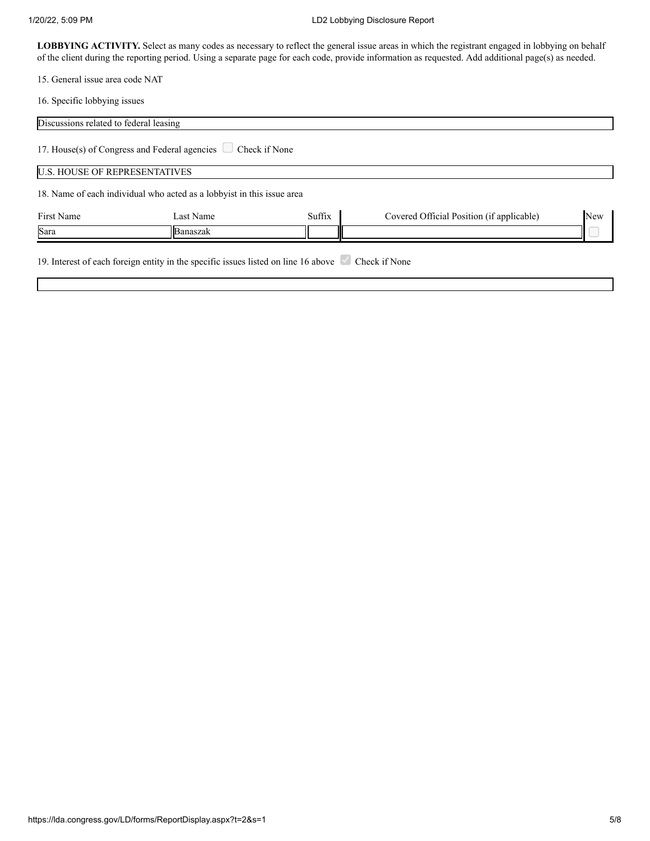#### 1/20/22, 5:09 PM LD2 Lobbying Disclosure Report

LOBBYING ACTIVITY. Select as many codes as necessary to reflect the general issue areas in which the registrant engaged in lobbying on behalf of the client during the reporting period. Using a separate page for each code, provide information as requested. Add additional page(s) as needed.

15. General issue area code NAT

16. Specific lobbying issues

| Discussions related to federal leasing |                                                                                                  |        |                                           |     |
|----------------------------------------|--------------------------------------------------------------------------------------------------|--------|-------------------------------------------|-----|
|                                        | 17. House(s) of Congress and Federal agencies $\Box$ Check if None                               |        |                                           |     |
| <b>U.S. HOUSE OF REPRESENTATIVES</b>   |                                                                                                  |        |                                           |     |
|                                        | 18. Name of each individual who acted as a lobbyist in this issue area                           |        |                                           |     |
| <b>First Name</b>                      | Last Name                                                                                        | Suffix | Covered Official Position (if applicable) | New |
| Sara                                   | lBanaszak                                                                                        |        |                                           |     |
|                                        | 19. Interest of each foreign entity in the specific issues listed on line 16 above Check if None |        |                                           |     |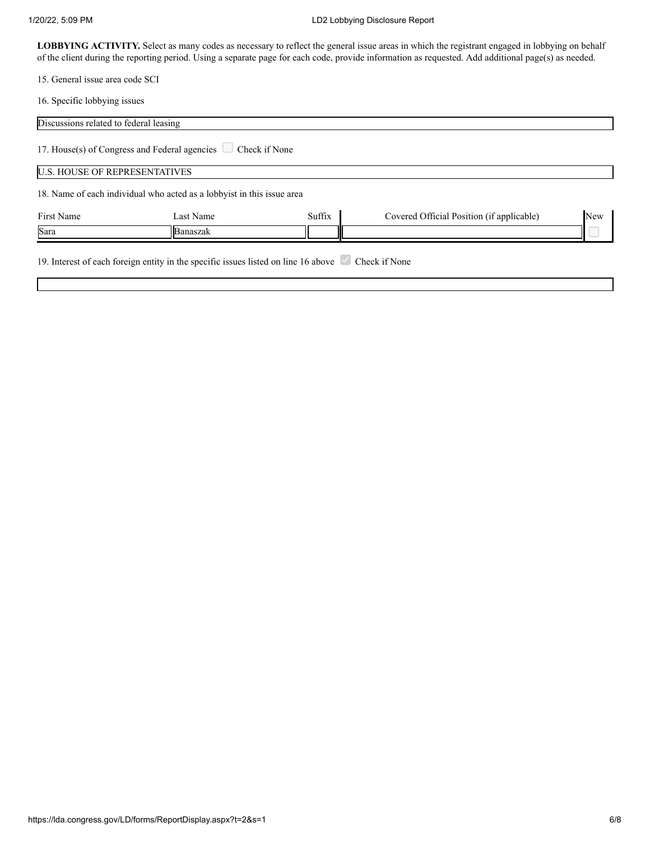#### 1/20/22, 5:09 PM LD2 Lobbying Disclosure Report

LOBBYING ACTIVITY. Select as many codes as necessary to reflect the general issue areas in which the registrant engaged in lobbying on behalf of the client during the reporting period. Using a separate page for each code, provide information as requested. Add additional page(s) as needed.

15. General issue area code SCI

16. Specific lobbying issues

| Discussions related to federal leasing |                                                                                                  |        |                                           |            |
|----------------------------------------|--------------------------------------------------------------------------------------------------|--------|-------------------------------------------|------------|
|                                        | 17. House(s) of Congress and Federal agencies $\Box$ Check if None                               |        |                                           |            |
| <b>U.S. HOUSE OF REPRESENTATIVES</b>   |                                                                                                  |        |                                           |            |
|                                        | 18. Name of each individual who acted as a lobbyist in this issue area                           |        |                                           |            |
| First Name                             | Last Name                                                                                        | Suffix | Covered Official Position (if applicable) | <b>New</b> |
| Sara                                   | Banaszak                                                                                         |        |                                           |            |
|                                        | 19. Interest of each foreign entity in the specific issues listed on line 16 above Check if None |        |                                           |            |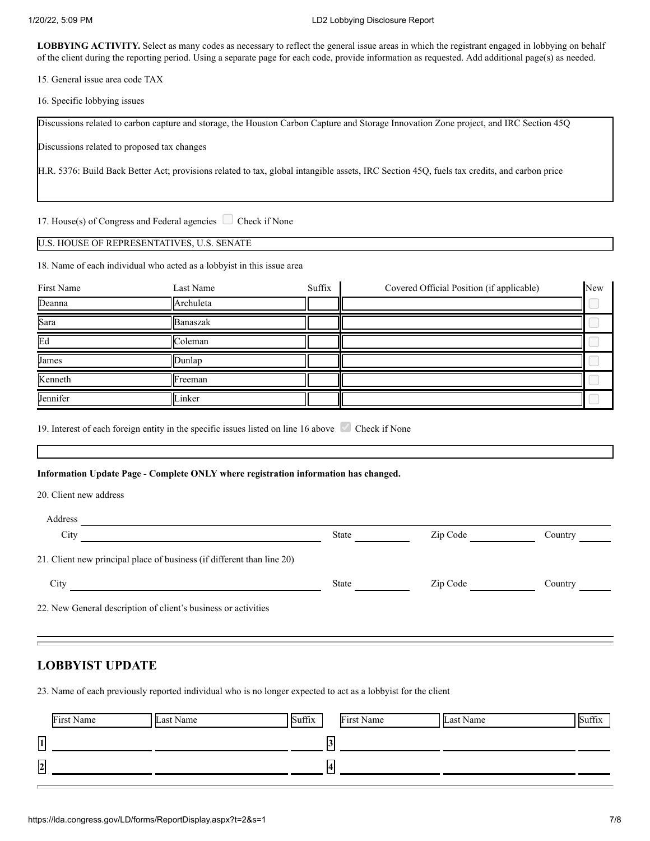LOBBYING ACTIVITY. Select as many codes as necessary to reflect the general issue areas in which the registrant engaged in lobbying on behalf of the client during the reporting period. Using a separate page for each code, provide information as requested. Add additional page(s) as needed.

15. General issue area code TAX

16. Specific lobbying issues

Discussions related to carbon capture and storage, the Houston Carbon Capture and Storage Innovation Zone project, and IRC Section 45Q

Discussions related to proposed tax changes

H.R. 5376: Build Back Better Act; provisions related to tax, global intangible assets, IRC Section 45Q, fuels tax credits, and carbon price

17. House(s) of Congress and Federal agencies  $\Box$  Check if None

U.S. HOUSE OF REPRESENTATIVES, U.S. SENATE

18. Name of each individual who acted as a lobbyist in this issue area

| First Name | Last Name | Suffix | Covered Official Position (if applicable) | New |
|------------|-----------|--------|-------------------------------------------|-----|
| Deanna     | Archuleta |        |                                           |     |
| Sara       | Banaszak  |        |                                           |     |
| Ed         | Coleman   |        |                                           |     |
| James      | Dunlap    |        |                                           |     |
| Kenneth    | Freeman   |        |                                           |     |
| Jennifer   | Linker    |        |                                           |     |

19. Interest of each foreign entity in the specific issues listed on line 16 above Check if None

**Information Update Page - Complete ONLY where registration information has changed.**

20. Client new address

| Address                                                                |              |          |         |
|------------------------------------------------------------------------|--------------|----------|---------|
| City                                                                   | <b>State</b> | Zip Code | Country |
| 21. Client new principal place of business (if different than line 20) |              |          |         |
| City                                                                   | <b>State</b> | Zip Code | Country |
| 22. New General description of client's business or activities         |              |          |         |

# **LOBBYIST UPDATE**

23. Name of each previously reported individual who is no longer expected to act as a lobbyist for the client

|                | First Name | Last Name | Suffix |      | First Name | Last Name |  |
|----------------|------------|-----------|--------|------|------------|-----------|--|
| $\overline{1}$ |            |           |        | ا د، |            |           |  |
| $\sqrt{2}$     |            |           |        | 14   |            |           |  |
| ـــ            |            |           |        |      |            |           |  |